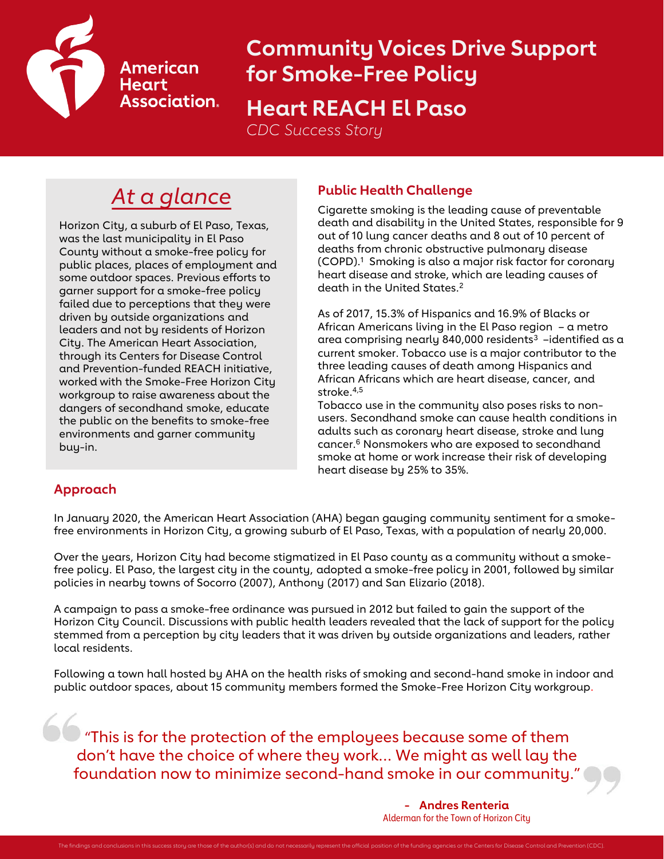

# **Community Voices Drive Support for Smoke-Free Policy Heart REACH El Paso**

*CDC Success Story*

## *At a glance* **Public Health Challenge**

Horizon City, a suburb of El Paso, Texas, was the last municipality in El Paso County without a smoke-free policy for public places, places of employment and some outdoor spaces. Previous efforts to garner support for a smoke-free policy failed due to perceptions that they were driven by outside organizations and leaders and not by residents of Horizon City. The American Heart Association, through its Centers for Disease Control and Prevention-funded REACH initiative, worked with the Smoke-Free Horizon City workgroup to raise awareness about the dangers of secondhand smoke, educate the public on the benefits to smoke-free environments and garner community buy-in.

Cigarette smoking is the leading cause of preventable death and disability in the United States, responsible for 9 out of 10 lung cancer deaths and 8 out of 10 percent of deaths from chronic obstructive pulmonary disease (COPD).<sup>1</sup> Smoking is also a major risk factor for coronary heart disease and stroke, which are leading causes of death in the United States.<sup>2</sup>

As of 2017, 15.3% of Hispanics and 16.9% of Blacks or African Americans living in the El Paso region – a metro area comprising nearly 840,000 residents<sup>3</sup> -identified as a current smoker. Tobacco use is a major contributor to the three leading causes of death among Hispanics and African Africans which are heart disease, cancer, and stroke.4,5

Tobacco use in the community also poses risks to nonusers. Secondhand smoke can cause health conditions in adults such as coronary heart disease, stroke and lung cancer.<sup>6</sup> Nonsmokers who are exposed to secondhand smoke at home or work increase their risk of developing heart disease by 25% to 35%.

### **Approach**

In January 2020, the American Heart Association (AHA) began gauging community sentiment for a smokefree environments in Horizon City, a growing suburb of El Paso, Texas, with a population of nearly 20,000.

Over the years, Horizon City had become stigmatized in El Paso county as a community without a smokefree policy. El Paso, the largest city in the county, adopted a smoke-free policy in 2001, followed by similar policies in nearby towns of Socorro (2007), Anthony (2017) and San Elizario (2018).

A campaign to pass a smoke-free ordinance was pursued in 2012 but failed to gain the support of the Horizon City Council. Discussions with public health leaders revealed that the lack of support for the policy stemmed from a perception by city leaders that it was driven by outside organizations and leaders, rather local residents.

Following a town hall hosted by AHA on the health risks of smoking and second-hand smoke in indoor and public outdoor spaces, about 15 community members formed the Smoke-Free Horizon City workgroup.

**OG** "This is for the protection of the employees because some of them don't have the choice of where they work… We might as well lay the foundation now to minimize second-hand smoke in our community."

> **- Andres Renteria** Alderman for the Town of Horizon City